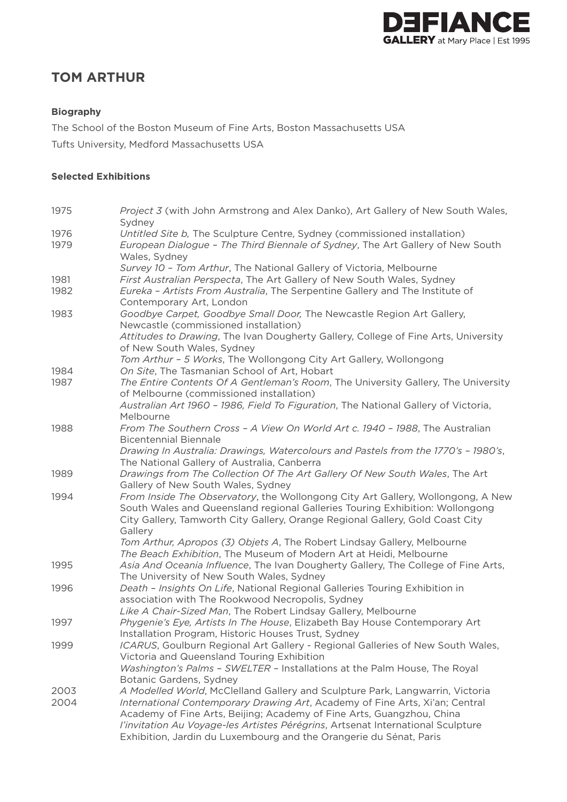

# **TOM ARTHUR**

## **Biography**

The School of the Boston Museum of Fine Arts, Boston Massachusetts USA Tufts University, Medford Massachusetts USA

### **Selected Exhibitions**

| 1975 | <i>Project 3</i> (with John Armstrong and Alex Danko), Art Gallery of New South Wales,<br>Sydney                                                                                                                                                            |
|------|-------------------------------------------------------------------------------------------------------------------------------------------------------------------------------------------------------------------------------------------------------------|
| 1976 | Untitled Site b, The Sculpture Centre, Sydney (commissioned installation)                                                                                                                                                                                   |
| 1979 | European Dialogue - The Third Biennale of Sydney, The Art Gallery of New South<br>Wales, Sydney                                                                                                                                                             |
|      | Survey 10 - Tom Arthur, The National Gallery of Victoria, Melbourne                                                                                                                                                                                         |
| 1981 | First Australian Perspecta, The Art Gallery of New South Wales, Sydney                                                                                                                                                                                      |
| 1982 | Eureka - Artists From Australia, The Serpentine Gallery and The Institute of<br>Contemporary Art, London                                                                                                                                                    |
| 1983 | Goodbye Carpet, Goodbye Small Door, The Newcastle Region Art Gallery,<br>Newcastle (commissioned installation)                                                                                                                                              |
|      | Attitudes to Drawing, The Ivan Dougherty Gallery, College of Fine Arts, University<br>of New South Wales, Sydney                                                                                                                                            |
| 1984 | Tom Arthur - 5 Works, The Wollongong City Art Gallery, Wollongong<br>On Site, The Tasmanian School of Art, Hobart                                                                                                                                           |
| 1987 | The Entire Contents Of A Gentleman's Room, The University Gallery, The University<br>of Melbourne (commissioned installation)                                                                                                                               |
|      | Australian Art 1960 - 1986, Field To Figuration, The National Gallery of Victoria,<br>Melbourne                                                                                                                                                             |
| 1988 | From The Southern Cross - A View On World Art c. 1940 - 1988, The Australian<br><b>Bicentennial Biennale</b>                                                                                                                                                |
|      | Drawing In Australia: Drawings, Watercolours and Pastels from the 1770's - 1980's,<br>The National Gallery of Australia, Canberra                                                                                                                           |
| 1989 | Drawings from The Collection Of The Art Gallery Of New South Wales, The Art<br>Gallery of New South Wales, Sydney                                                                                                                                           |
| 1994 | From Inside The Observatory, the Wollongong City Art Gallery, Wollongong, A New<br>South Wales and Queensland regional Galleries Touring Exhibition: Wollongong<br>City Gallery, Tamworth City Gallery, Orange Regional Gallery, Gold Coast City<br>Gallery |
|      | Tom Arthur, Apropos (3) Objets A, The Robert Lindsay Gallery, Melbourne<br>The Beach Exhibition, The Museum of Modern Art at Heidi, Melbourne                                                                                                               |
| 1995 | Asia And Oceania Influence, The Ivan Dougherty Gallery, The College of Fine Arts,<br>The University of New South Wales, Sydney                                                                                                                              |
| 1996 | Death - Insights On Life, National Regional Galleries Touring Exhibition in<br>association with The Rookwood Necropolis, Sydney<br>Like A Chair-Sized Man, The Robert Lindsay Gallery, Melbourne                                                            |
| 1997 | Phygenie's Eye, Artists In The House, Elizabeth Bay House Contemporary Art<br>Installation Program, Historic Houses Trust, Sydney                                                                                                                           |
| 1999 | ICARUS, Goulburn Regional Art Gallery - Regional Galleries of New South Wales,<br>Victoria and Queensland Touring Exhibition                                                                                                                                |
|      | Washington's Palms - SWELTER - Installations at the Palm House, The Royal<br>Botanic Gardens, Sydney                                                                                                                                                        |
| 2003 | A Modelled World, McClelland Gallery and Sculpture Park, Langwarrin, Victoria                                                                                                                                                                               |
| 2004 | International Contemporary Drawing Art, Academy of Fine Arts, Xi'an; Central<br>Academy of Fine Arts, Beijing; Academy of Fine Arts, Guangzhou, China                                                                                                       |
|      | l'invitation Au Voyage-les Artistes Pérégrins, Artsenat International Sculpture<br>Exhibition, Jardin du Luxembourg and the Orangerie du Sénat, Paris                                                                                                       |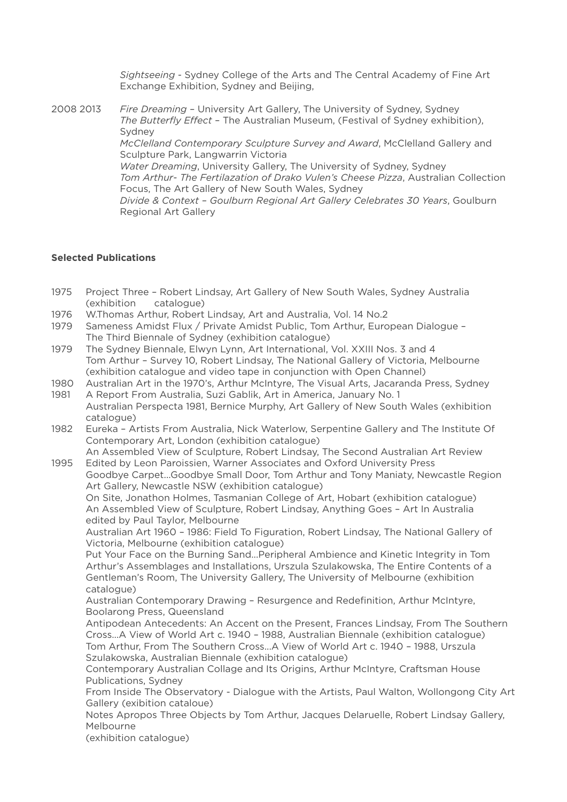*Sightseeing* - Sydney College of the Arts and The Central Academy of Fine Art Exchange Exhibition, Sydney and Beijing,

2008 2013 *Fire Dreaming* – University Art Gallery, The University of Sydney, Sydney *The Butterfly Effect* – The Australian Museum, (Festival of Sydney exhibition), Sydney *McClelland Contemporary Sculpture Survey and Award*, McClelland Gallery and Sculpture Park, Langwarrin Victoria *Water Dreaming*, University Gallery, The University of Sydney, Sydney *Tom Arthur- The Fertilazation of Drako Vulen's Cheese Pizza*, Australian Collection Focus, The Art Gallery of New South Wales, Sydney *Divide & Context – Goulburn Regional Art Gallery Celebrates 30 Years*, Goulburn Regional Art Gallery

### **Selected Publications**

- 1975 Project Three Robert Lindsay, Art Gallery of New South Wales, Sydney Australia (exhibition catalogue)
- 1976 W.Thomas Arthur, Robert Lindsay, Art and Australia, Vol. 14 No.2
- 1979 Sameness Amidst Flux / Private Amidst Public, Tom Arthur, European Dialogue The Third Biennale of Sydney (exhibition catalogue)
- 1979 The Sydney Biennale, Elwyn Lynn, Art International, Vol. XXIII Nos. 3 and 4 Tom Arthur – Survey 10, Robert Lindsay, The National Gallery of Victoria, Melbourne (exhibition catalogue and video tape in conjunction with Open Channel)
- 1980 Australian Art in the 1970's, Arthur McIntyre, The Visual Arts, Jacaranda Press, Sydney 1981 A Report From Australia, Suzi Gablik, Art in America, January No. 1

 Australian Perspecta 1981, Bernice Murphy, Art Gallery of New South Wales (exhibition catalogue)

1982 Eureka – Artists From Australia, Nick Waterlow, Serpentine Gallery and The Institute Of Contemporary Art, London (exhibition catalogue)

 An Assembled View of Sculpture, Robert Lindsay, The Second Australian Art Review 1995 Edited by Leon Paroissien, Warner Associates and Oxford University Press

 Goodbye Carpet...Goodbye Small Door, Tom Arthur and Tony Maniaty, Newcastle Region Art Gallery, Newcastle NSW (exhibition catalogue)

 On Site, Jonathon Holmes, Tasmanian College of Art, Hobart (exhibition catalogue) An Assembled View of Sculpture, Robert Lindsay, Anything Goes – Art In Australia edited by Paul Taylor, Melbourne

 Australian Art 1960 – 1986: Field To Figuration, Robert Lindsay, The National Gallery of Victoria, Melbourne (exhibition catalogue)

 Put Your Face on the Burning Sand...Peripheral Ambience and Kinetic Integrity in Tom Arthur's Assemblages and Installations, Urszula Szulakowska, The Entire Contents of a Gentleman's Room, The University Gallery, The University of Melbourne (exhibition catalogue)

 Australian Contemporary Drawing – Resurgence and Redefinition, Arthur McIntyre, Boolarong Press, Queensland

 Antipodean Antecedents: An Accent on the Present, Frances Lindsay, From The Southern Cross...A View of World Art c. 1940 – 1988, Australian Biennale (exhibition catalogue) Tom Arthur, From The Southern Cross...A View of World Art c. 1940 – 1988, Urszula Szulakowska, Australian Biennale (exhibition catalogue)

 Contemporary Australian Collage and Its Origins, Arthur McIntyre, Craftsman House Publications, Sydney

 From Inside The Observatory - Dialogue with the Artists, Paul Walton, Wollongong City Art Gallery (exibition cataloue)

 Notes Apropos Three Objects by Tom Arthur, Jacques Delaruelle, Robert Lindsay Gallery, Melbourne

(exhibition catalogue)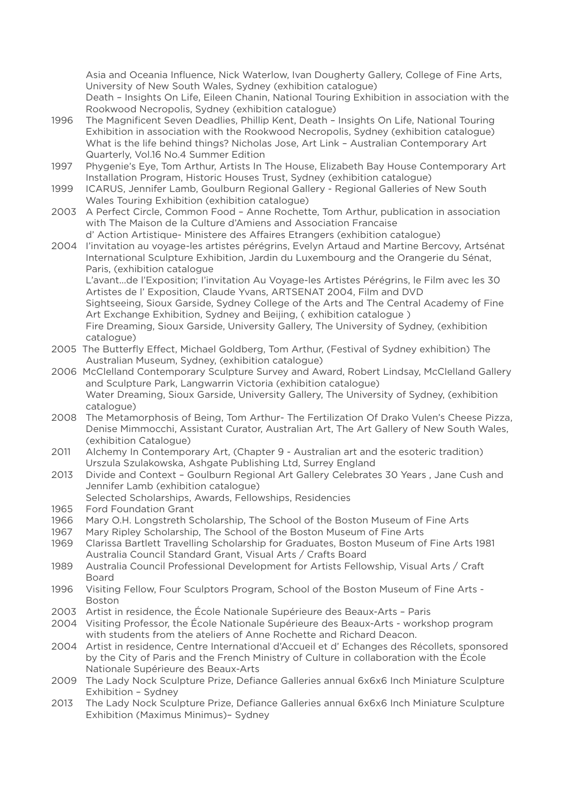Asia and Oceania Influence, Nick Waterlow, Ivan Dougherty Gallery, College of Fine Arts, University of New South Wales, Sydney (exhibition catalogue) Death – Insights On Life, Eileen Chanin, National Touring Exhibition in association with the Rookwood Necropolis, Sydney (exhibition catalogue)

- 1996 The Magnificent Seven Deadlies, Phillip Kent, Death Insights On Life, National Touring Exhibition in association with the Rookwood Necropolis, Sydney (exhibition catalogue) What is the life behind things? Nicholas Jose, Art Link – Australian Contemporary Art Quarterly, Vol.16 No.4 Summer Edition
- 1997 Phygenie's Eye, Tom Arthur, Artists In The House, Elizabeth Bay House Contemporary Art Installation Program, Historic Houses Trust, Sydney (exhibition catalogue)
- 1999 ICARUS, Jennifer Lamb, Goulburn Regional Gallery Regional Galleries of New South Wales Touring Exhibition (exhibition catalogue)
- 2003 A Perfect Circle, Common Food Anne Rochette, Tom Arthur, publication in association with The Maison de la Culture d'Amiens and Association Francaise d' Action Artistique- Ministere des Affaires Etrangers (exhibition catalogue)
- 2004 I'invitation au voyage-les artistes pérégrins, Evelyn Artaud and Martine Bercovy, Artsénat International Sculpture Exhibition, Jardin du Luxembourg and the Orangerie du Sénat, Paris, (exhibition catalogue L'avant...de l'Exposition; I'invitation Au Voyage-les Artistes Pérégrins, le Film avec les 30 Artistes de l' Exposition, Claude Yvans, ARTSENAT 2004, Film and DVD Sightseeing, Sioux Garside, Sydney College of the Arts and The Central Academy of Fine Art Exchange Exhibition, Sydney and Beijing, ( exhibition catalogue ) Fire Dreaming, Sioux Garside, University Gallery, The University of Sydney, (exhibition catalogue)
- 2005 The Butterfly Effect, Michael Goldberg, Tom Arthur, (Festival of Sydney exhibition) The Australian Museum, Sydney, (exhibition catalogue)
- 2006 McClelland Contemporary Sculpture Survey and Award, Robert Lindsay, McClelland Gallery and Sculpture Park, Langwarrin Victoria (exhibition catalogue) Water Dreaming, Sioux Garside, University Gallery, The University of Sydney, (exhibition catalogue)
- 2008 The Metamorphosis of Being, Tom Arthur- The Fertilization Of Drako Vulen's Cheese Pizza, Denise Mimmocchi, Assistant Curator, Australian Art, The Art Gallery of New South Wales, (exhibition Catalogue)
- 2011 Alchemy In Contemporary Art, (Chapter 9 Australian art and the esoteric tradition) Urszula Szulakowska, Ashgate Publishing Ltd, Surrey England
- 2013 Divide and Context Goulburn Regional Art Gallery Celebrates 30 Years , Jane Cush and Jennifer Lamb (exhibition catalogue)
- Selected Scholarships, Awards, Fellowships, Residencies
- 1965 Ford Foundation Grant
- 1966 Mary O.H. Longstreth Scholarship, The School of the Boston Museum of Fine Arts
- 1967 Mary Ripley Scholarship, The School of the Boston Museum of Fine Arts
- 1969 Clarissa Bartlett Travelling Scholarship for Graduates, Boston Museum of Fine Arts 1981 Australia Council Standard Grant, Visual Arts / Crafts Board
- 1989 Australia Council Professional Development for Artists Fellowship, Visual Arts / Craft Board
- 1996 Visiting Fellow, Four Sculptors Program, School of the Boston Museum of Fine Arts Boston
- 2003 Artist in residence, the École Nationale Supérieure des Beaux-Arts Paris
- 2004 Visiting Professor, the École Nationale Supérieure des Beaux-Arts workshop program with students from the ateliers of Anne Rochette and Richard Deacon.
- 2004 Artist in residence, Centre International d'Accueil et d' Echanges des Récollets, sponsored by the City of Paris and the French Ministry of Culture in collaboration with the École Nationale Supérieure des Beaux-Arts
- 2009 The Lady Nock Sculpture Prize, Defiance Galleries annual 6x6x6 Inch Miniature Sculpture Exhibition – Sydney
- 2013 The Lady Nock Sculpture Prize, Defiance Galleries annual 6x6x6 Inch Miniature Sculpture Exhibition (Maximus Minimus)– Sydney